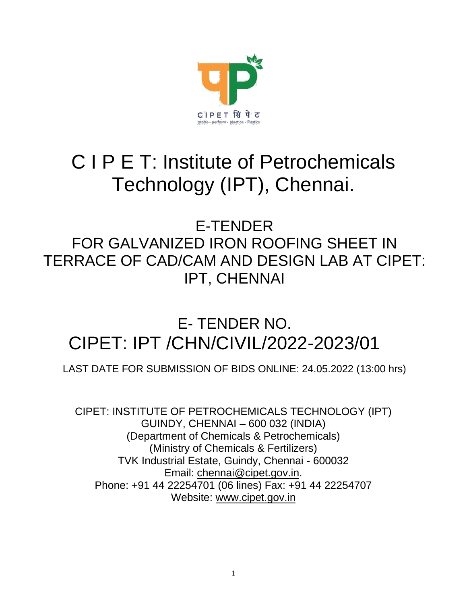

# C I P E T: Institute of Petrochemicals Technology (IPT), Chennai.

### E-TENDER FOR GALVANIZED IRON ROOFING SHEET IN TERRACE OF CAD/CAM AND DESIGN LAB AT CIPET: IPT, CHENNAI

## E- TENDER NO. CIPET: IPT /CHN/CIVIL/2022-2023/01

LAST DATE FOR SUBMISSION OF BIDS ONLINE: 24.05.2022 (13:00 hrs)

CIPET: INSTITUTE OF PETROCHEMICALS TECHNOLOGY (IPT) GUINDY, CHENNAI – 600 032 (INDIA) (Department of Chemicals & Petrochemicals) (Ministry of Chemicals & Fertilizers) TVK Industrial Estate, Guindy, Chennai - 600032 Email: [chennai@cipet.gov.in.](mailto:chennai@cipet.gov.in) Phone: +91 44 22254701 (06 lines) Fax: +91 44 22254707 Website: [www.cipet.gov.in](http://www.cipet.gov.in/)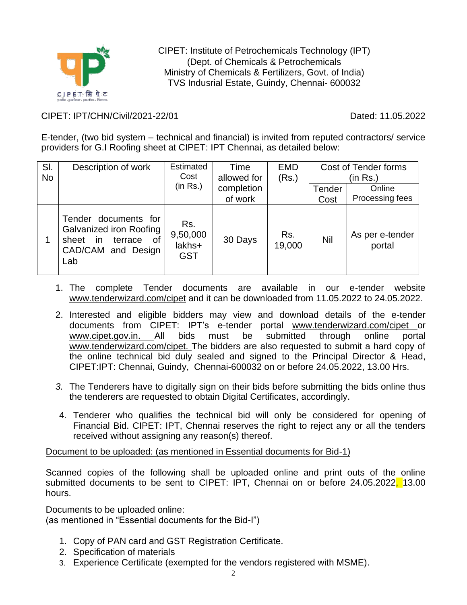

CIPET: Institute of Petrochemicals Technology (IPT) (Dept. of Chemicals & Petrochemicals Ministry of Chemicals & Fertilizers, Govt. of India) TVS Indusrial Estate, Guindy, Chennai- 600032

#### CIPET: IPT/CHN/Civil/2021-22/01 Dated: 11.05.2022

E-tender, (two bid system – technical and financial) is invited from reputed contractors/ service providers for G.I Roofing sheet at CIPET: IPT Chennai, as detailed below:

| SI.<br><b>No</b> | Description of work                                                                                                   | <b>Estimated</b><br>Cost<br>(in Rs.)    | Time<br>allowed for<br>completion<br>of work | <b>EMD</b><br>(Rs.) | Cost of Tender forms<br>(in Rs.) |                           |
|------------------|-----------------------------------------------------------------------------------------------------------------------|-----------------------------------------|----------------------------------------------|---------------------|----------------------------------|---------------------------|
|                  |                                                                                                                       |                                         |                                              |                     | <b>Tender</b><br>Cost            | Online<br>Processing fees |
|                  | Tender documents for<br>Galvanized iron Roofing<br>terrace<br>sheet<br><i>in</i><br>- of<br>CAD/CAM and Design<br>Lab | Rs.<br>9,50,000<br>lakhs+<br><b>GST</b> | 30 Days                                      | Rs.<br>19,000       | Nil                              | As per e-tender<br>portal |

- 1. The complete Tender documents are available in our e-tender website www.tenderwizard.com/cipet and it can be downloaded from 11.05.2022 to 24.05.2022.
- 2. Interested and eligible bidders may view and download details of the e-tender documents from CIPET: IPT's e-tender portal [www.tenderwizard.com/cipet o](http://www.tenderwizard.com/cipet)r [www.cipet.gov.in. A](http://www.cipet.gov.in./)ll bids must be submitted through online portal [www.tenderwizard.com/cipet. T](http://www.tenderwizard.com/cipet.)he bidders are also requested to submit a hard copy of the online technical bid duly sealed and signed to the Principal Director & Head, CIPET:IPT: Chennai, Guindy, Chennai-600032 on or before 24.05.2022, 13.00 Hrs.
- *3.* The Tenderers have to digitally sign on their bids before submitting the bids online thus the tenderers are requested to obtain Digital Certificates, accordingly.
- 4. Tenderer who qualifies the technical bid will only be considered for opening of Financial Bid. CIPET: IPT, Chennai reserves the right to reject any or all the tenders received without assigning any reason(s) thereof.

Document to be uploaded: (as mentioned in Essential documents for Bid-1)

Scanned copies of the following shall be uploaded online and print outs of the online submitted documents to be sent to CIPET: IPT, Chennai on or before 24.05.2022, 13.00 hours.

Documents to be uploaded online:

(as mentioned in "Essential documents for the Bid-I")

- 1. Copy of PAN card and GST Registration Certificate.
- 2. Specification of materials
- 3. Experience Certificate (exempted for the vendors registered with MSME).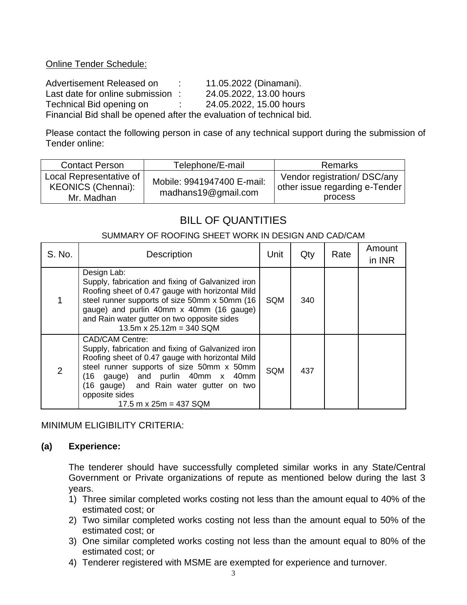Online Tender Schedule:

Advertisement Released on : 11.05.2022 (Dinamani). Last date for online submission : 24.05.2022, 13.00 hours Technical Bid opening on : 24.05.2022, 15.00 hours Financial Bid shall be opened after the evaluation of technical bid.

Please contact the following person in case of any technical support during the submission of Tender online:

| <b>Contact Person</b>                                              | Telephone/E-mail                                  | <b>Remarks</b>                                                            |  |  |
|--------------------------------------------------------------------|---------------------------------------------------|---------------------------------------------------------------------------|--|--|
| Local Representative of<br><b>KEONICS (Chennai):</b><br>Mr. Madhan | Mobile: 9941947400 E-mail:<br>madhans19@gmail.com | Vendor registration/ DSC/any<br>other issue regarding e-Tender<br>process |  |  |

### BILL OF QUANTITIES

#### SUMMARY OF ROOFING SHEET WORK IN DESIGN AND CAD/CAM

| S. No. | <b>Description</b>                                                                                                                                                                                                                                                                                         | Unit | $Q$ ty | Rate | Amount<br>in INR |
|--------|------------------------------------------------------------------------------------------------------------------------------------------------------------------------------------------------------------------------------------------------------------------------------------------------------------|------|--------|------|------------------|
|        | Design Lab:<br>Supply, fabrication and fixing of Galvanized iron<br>Roofing sheet of 0.47 gauge with horizontal Mild<br>steel runner supports of size 50mm x 50mm (16<br>gauge) and purlin 40mm x 40mm (16 gauge)<br>and Rain water gutter on two opposite sides<br>$13.5m \times 25.12m = 340$ SQM        | SQM  | 340    |      |                  |
| 2      | <b>CAD/CAM Centre:</b><br>Supply, fabrication and fixing of Galvanized iron<br>Roofing sheet of 0.47 gauge with horizontal Mild<br>steel runner supports of size 50mm x 50mm<br>(16 gauge) and purlin 40mm x 40mm<br>(16 gauge) and Rain water gutter on two<br>opposite sides<br>17.5 m x $25m = 437$ SQM | SQM  | 437    |      |                  |

#### MINIMUM ELIGIBILITY CRITERIA:

#### **(a) Experience:**

The tenderer should have successfully completed similar works in any State/Central Government or Private organizations of repute as mentioned below during the last 3 years.

- 1) Three similar completed works costing not less than the amount equal to 40% of the estimated cost; or
- 2) Two similar completed works costing not less than the amount equal to 50% of the estimated cost; or
- 3) One similar completed works costing not less than the amount equal to 80% of the estimated cost; or
- 4) Tenderer registered with MSME are exempted for experience and turnover.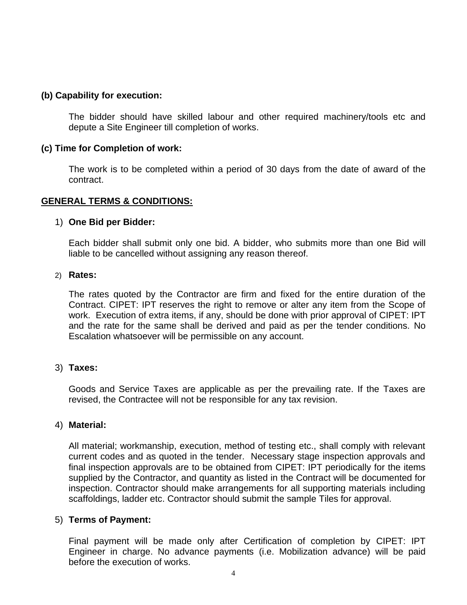#### **(b) Capability for execution:**

The bidder should have skilled labour and other required machinery/tools etc and depute a Site Engineer till completion of works.

#### **(c) Time for Completion of work:**

The work is to be completed within a period of 30 days from the date of award of the contract.

#### **GENERAL TERMS & CONDITIONS:**

#### 1) **One Bid per Bidder:**

Each bidder shall submit only one bid. A bidder, who submits more than one Bid will liable to be cancelled without assigning any reason thereof.

#### 2) **Rates:**

The rates quoted by the Contractor are firm and fixed for the entire duration of the Contract. CIPET: IPT reserves the right to remove or alter any item from the Scope of work. Execution of extra items, if any, should be done with prior approval of CIPET: IPT and the rate for the same shall be derived and paid as per the tender conditions. No Escalation whatsoever will be permissible on any account.

#### 3) **Taxes:**

Goods and Service Taxes are applicable as per the prevailing rate. If the Taxes are revised, the Contractee will not be responsible for any tax revision.

#### 4) **Material:**

All material; workmanship, execution, method of testing etc., shall comply with relevant current codes and as quoted in the tender. Necessary stage inspection approvals and final inspection approvals are to be obtained from CIPET: IPT periodically for the items supplied by the Contractor, and quantity as listed in the Contract will be documented for inspection. Contractor should make arrangements for all supporting materials including scaffoldings, ladder etc. Contractor should submit the sample Tiles for approval.

#### 5) **Terms of Payment:**

Final payment will be made only after Certification of completion by CIPET: IPT Engineer in charge. No advance payments (i.e. Mobilization advance) will be paid before the execution of works.